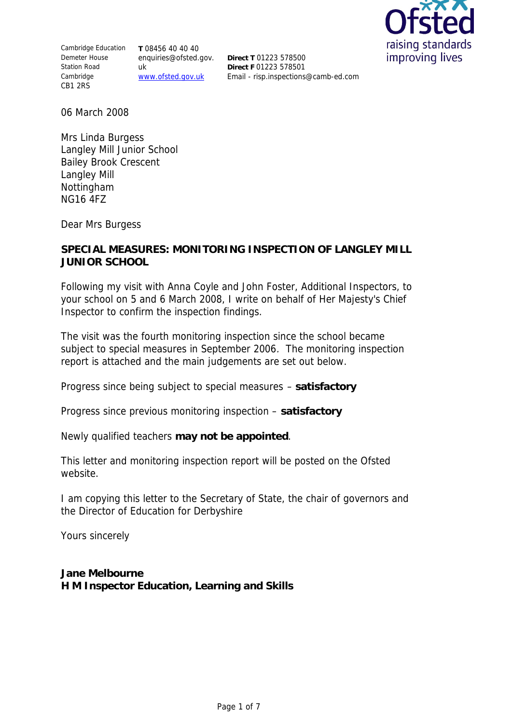Cambridge Education Demeter House Station Road Cambridge CB1 2RS

**T** 08456 40 40 40 enquiries@ofsted.gov. uk www.ofsted.gov.uk

**Direct T** 01223 578500 **Direct F** 01223 578501 Email - risp.inspections@camb-ed.com



06 March 2008

Mrs Linda Burgess Langley Mill Junior School Bailey Brook Crescent Langley Mill Nottingham NG16 4FZ

Dear Mrs Burgess

## **SPECIAL MEASURES: MONITORING INSPECTION OF LANGLEY MILL JUNIOR SCHOOL**

Following my visit with Anna Coyle and John Foster, Additional Inspectors, to your school on 5 and 6 March 2008, I write on behalf of Her Majesty's Chief Inspector to confirm the inspection findings.

The visit was the fourth monitoring inspection since the school became subject to special measures in September 2006. The monitoring inspection report is attached and the main judgements are set out below.

Progress since being subject to special measures – **satisfactory**

Progress since previous monitoring inspection – **satisfactory**

Newly qualified teachers **may not be appointed**.

This letter and monitoring inspection report will be posted on the Ofsted website.

I am copying this letter to the Secretary of State, the chair of governors and the Director of Education for Derbyshire

Yours sincerely

**Jane Melbourne H M Inspector Education, Learning and Skills**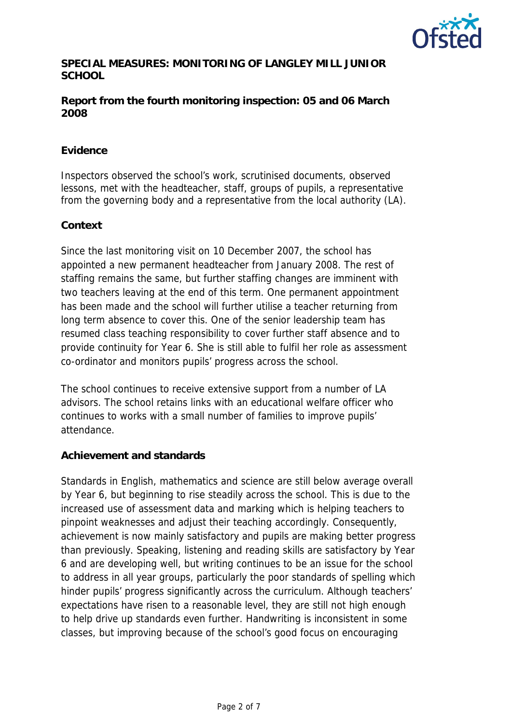

**SPECIAL MEASURES: MONITORING OF LANGLEY MILL JUNIOR SCHOOL**

**Report from the fourth monitoring inspection: 05 and 06 March 2008** 

# **Evidence**

Inspectors observed the school's work, scrutinised documents, observed lessons, met with the headteacher, staff, groups of pupils, a representative from the governing body and a representative from the local authority (LA).

## **Context**

Since the last monitoring visit on 10 December 2007, the school has appointed a new permanent headteacher from January 2008. The rest of staffing remains the same, but further staffing changes are imminent with two teachers leaving at the end of this term. One permanent appointment has been made and the school will further utilise a teacher returning from long term absence to cover this. One of the senior leadership team has resumed class teaching responsibility to cover further staff absence and to provide continuity for Year 6. She is still able to fulfil her role as assessment co-ordinator and monitors pupils' progress across the school.

The school continues to receive extensive support from a number of LA advisors. The school retains links with an educational welfare officer who continues to works with a small number of families to improve pupils' attendance.

### **Achievement and standards**

Standards in English, mathematics and science are still below average overall by Year 6, but beginning to rise steadily across the school. This is due to the increased use of assessment data and marking which is helping teachers to pinpoint weaknesses and adjust their teaching accordingly. Consequently, achievement is now mainly satisfactory and pupils are making better progress than previously. Speaking, listening and reading skills are satisfactory by Year 6 and are developing well, but writing continues to be an issue for the school to address in all year groups, particularly the poor standards of spelling which hinder pupils' progress significantly across the curriculum. Although teachers' expectations have risen to a reasonable level, they are still not high enough to help drive up standards even further. Handwriting is inconsistent in some classes, but improving because of the school's good focus on encouraging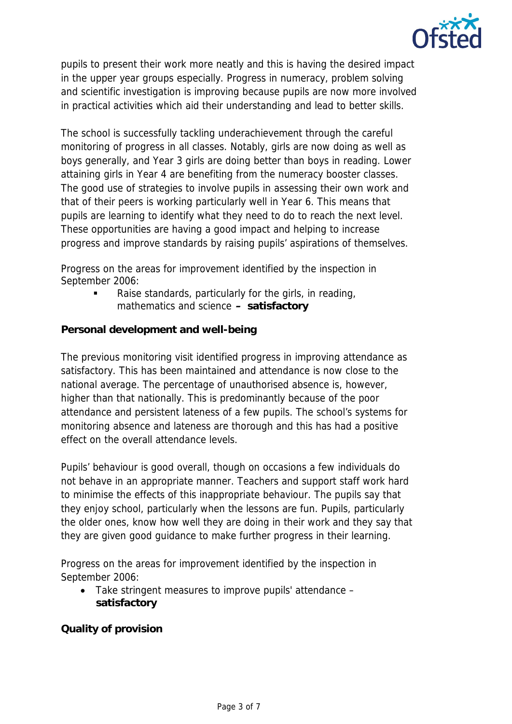

pupils to present their work more neatly and this is having the desired impact in the upper year groups especially. Progress in numeracy, problem solving and scientific investigation is improving because pupils are now more involved in practical activities which aid their understanding and lead to better skills.

The school is successfully tackling underachievement through the careful monitoring of progress in all classes. Notably, girls are now doing as well as boys generally, and Year 3 girls are doing better than boys in reading. Lower attaining girls in Year 4 are benefiting from the numeracy booster classes. The good use of strategies to involve pupils in assessing their own work and that of their peers is working particularly well in Year 6. This means that pupils are learning to identify what they need to do to reach the next level. These opportunities are having a good impact and helping to increase progress and improve standards by raising pupils' aspirations of themselves.

Progress on the areas for improvement identified by the inspection in September 2006:

> Raise standards, particularly for the girls, in reading, mathematics and science **– satisfactory**

**Personal development and well-being**

The previous monitoring visit identified progress in improving attendance as satisfactory. This has been maintained and attendance is now close to the national average. The percentage of unauthorised absence is, however, higher than that nationally. This is predominantly because of the poor attendance and persistent lateness of a few pupils. The school's systems for monitoring absence and lateness are thorough and this has had a positive effect on the overall attendance levels.

Pupils' behaviour is good overall, though on occasions a few individuals do not behave in an appropriate manner. Teachers and support staff work hard to minimise the effects of this inappropriate behaviour. The pupils say that they enjoy school, particularly when the lessons are fun. Pupils, particularly the older ones, know how well they are doing in their work and they say that they are given good guidance to make further progress in their learning.

Progress on the areas for improvement identified by the inspection in September 2006:

 Take stringent measures to improve pupils' attendance – **satisfactory** 

**Quality of provision**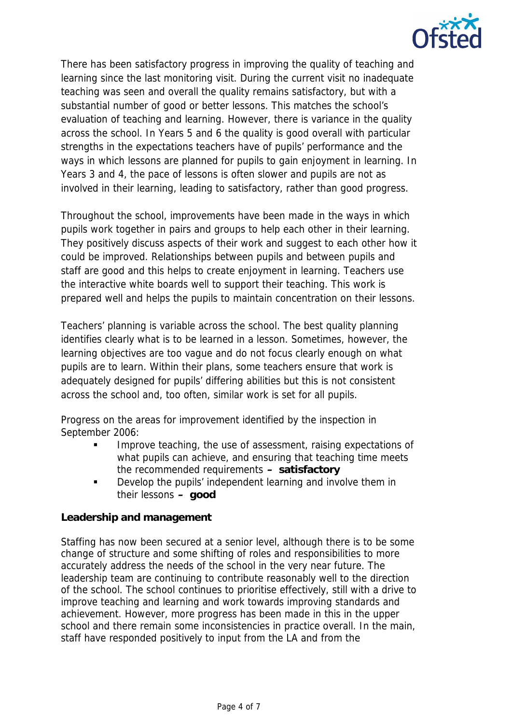

There has been satisfactory progress in improving the quality of teaching and learning since the last monitoring visit. During the current visit no inadequate teaching was seen and overall the quality remains satisfactory, but with a substantial number of good or better lessons. This matches the school's evaluation of teaching and learning. However, there is variance in the quality across the school. In Years 5 and 6 the quality is good overall with particular strengths in the expectations teachers have of pupils' performance and the ways in which lessons are planned for pupils to gain enjoyment in learning. In Years 3 and 4, the pace of lessons is often slower and pupils are not as involved in their learning, leading to satisfactory, rather than good progress.

Throughout the school, improvements have been made in the ways in which pupils work together in pairs and groups to help each other in their learning. They positively discuss aspects of their work and suggest to each other how it could be improved. Relationships between pupils and between pupils and staff are good and this helps to create enjoyment in learning. Teachers use the interactive white boards well to support their teaching. This work is prepared well and helps the pupils to maintain concentration on their lessons.

Teachers' planning is variable across the school. The best quality planning identifies clearly what is to be learned in a lesson. Sometimes, however, the learning objectives are too vague and do not focus clearly enough on what pupils are to learn. Within their plans, some teachers ensure that work is adequately designed for pupils' differing abilities but this is not consistent across the school and, too often, similar work is set for all pupils.

Progress on the areas for improvement identified by the inspection in September 2006:

- Improve teaching, the use of assessment, raising expectations of what pupils can achieve, and ensuring that teaching time meets the recommended requirements **– satisfactory**
- **Develop the pupils' independent learning and involve them in** their lessons **– good**

# **Leadership and management**

Staffing has now been secured at a senior level, although there is to be some change of structure and some shifting of roles and responsibilities to more accurately address the needs of the school in the very near future. The leadership team are continuing to contribute reasonably well to the direction of the school. The school continues to prioritise effectively, still with a drive to improve teaching and learning and work towards improving standards and achievement. However, more progress has been made in this in the upper school and there remain some inconsistencies in practice overall. In the main, staff have responded positively to input from the LA and from the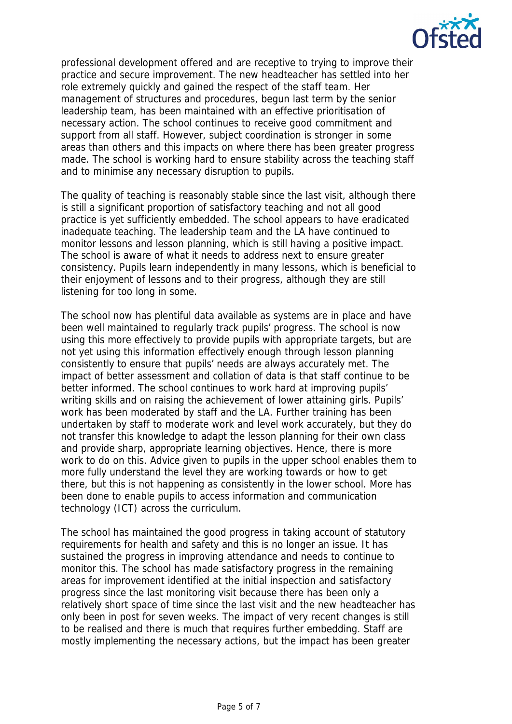

professional development offered and are receptive to trying to improve their practice and secure improvement. The new headteacher has settled into her role extremely quickly and gained the respect of the staff team. Her management of structures and procedures, begun last term by the senior leadership team, has been maintained with an effective prioritisation of necessary action. The school continues to receive good commitment and support from all staff. However, subject coordination is stronger in some areas than others and this impacts on where there has been greater progress made. The school is working hard to ensure stability across the teaching staff and to minimise any necessary disruption to pupils.

The quality of teaching is reasonably stable since the last visit, although there is still a significant proportion of satisfactory teaching and not all good practice is yet sufficiently embedded. The school appears to have eradicated inadequate teaching. The leadership team and the LA have continued to monitor lessons and lesson planning, which is still having a positive impact. The school is aware of what it needs to address next to ensure greater consistency. Pupils learn independently in many lessons, which is beneficial to their enjoyment of lessons and to their progress, although they are still listening for too long in some.

The school now has plentiful data available as systems are in place and have been well maintained to regularly track pupils' progress. The school is now using this more effectively to provide pupils with appropriate targets, but are not yet using this information effectively enough through lesson planning consistently to ensure that pupils' needs are always accurately met. The impact of better assessment and collation of data is that staff continue to be better informed. The school continues to work hard at improving pupils' writing skills and on raising the achievement of lower attaining girls. Pupils' work has been moderated by staff and the LA. Further training has been undertaken by staff to moderate work and level work accurately, but they do not transfer this knowledge to adapt the lesson planning for their own class and provide sharp, appropriate learning objectives. Hence, there is more work to do on this. Advice given to pupils in the upper school enables them to more fully understand the level they are working towards or how to get there, but this is not happening as consistently in the lower school. More has been done to enable pupils to access information and communication technology (ICT) across the curriculum.

The school has maintained the good progress in taking account of statutory requirements for health and safety and this is no longer an issue. It has sustained the progress in improving attendance and needs to continue to monitor this. The school has made satisfactory progress in the remaining areas for improvement identified at the initial inspection and satisfactory progress since the last monitoring visit because there has been only a relatively short space of time since the last visit and the new headteacher has only been in post for seven weeks. The impact of very recent changes is still to be realised and there is much that requires further embedding. Staff are mostly implementing the necessary actions, but the impact has been greater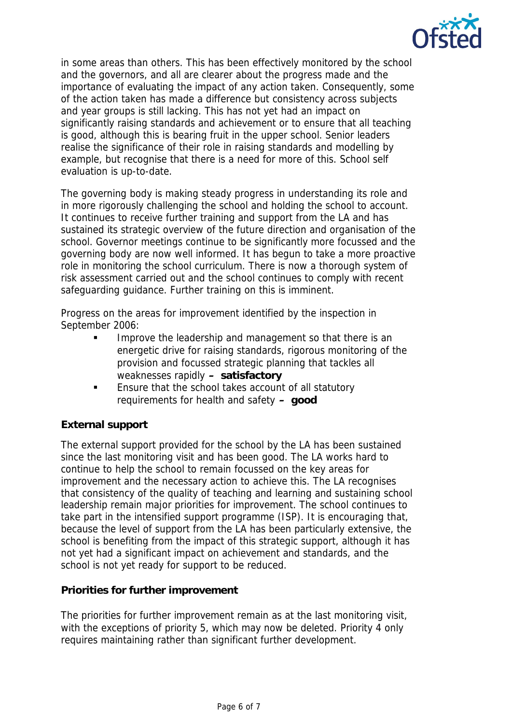

in some areas than others. This has been effectively monitored by the school and the governors, and all are clearer about the progress made and the importance of evaluating the impact of any action taken. Consequently, some of the action taken has made a difference but consistency across subjects and year groups is still lacking. This has not yet had an impact on significantly raising standards and achievement or to ensure that all teaching is good, although this is bearing fruit in the upper school. Senior leaders realise the significance of their role in raising standards and modelling by example, but recognise that there is a need for more of this. School self evaluation is up-to-date.

The governing body is making steady progress in understanding its role and in more rigorously challenging the school and holding the school to account. It continues to receive further training and support from the LA and has sustained its strategic overview of the future direction and organisation of the school. Governor meetings continue to be significantly more focussed and the governing body are now well informed. It has begun to take a more proactive role in monitoring the school curriculum. There is now a thorough system of risk assessment carried out and the school continues to comply with recent safeguarding guidance. Further training on this is imminent.

Progress on the areas for improvement identified by the inspection in September 2006:

- Improve the leadership and management so that there is an energetic drive for raising standards, rigorous monitoring of the provision and focussed strategic planning that tackles all weaknesses rapidly **– satisfactory**
- **Ensure that the school takes account of all statutory** requirements for health and safety **– good**

# **External support**

The external support provided for the school by the LA has been sustained since the last monitoring visit and has been good. The LA works hard to continue to help the school to remain focussed on the key areas for improvement and the necessary action to achieve this. The LA recognises that consistency of the quality of teaching and learning and sustaining school leadership remain major priorities for improvement. The school continues to take part in the intensified support programme (ISP). It is encouraging that, because the level of support from the LA has been particularly extensive, the school is benefiting from the impact of this strategic support, although it has not yet had a significant impact on achievement and standards, and the school is not yet ready for support to be reduced.

# **Priorities for further improvement**

The priorities for further improvement remain as at the last monitoring visit, with the exceptions of priority 5, which may now be deleted. Priority 4 only requires maintaining rather than significant further development.